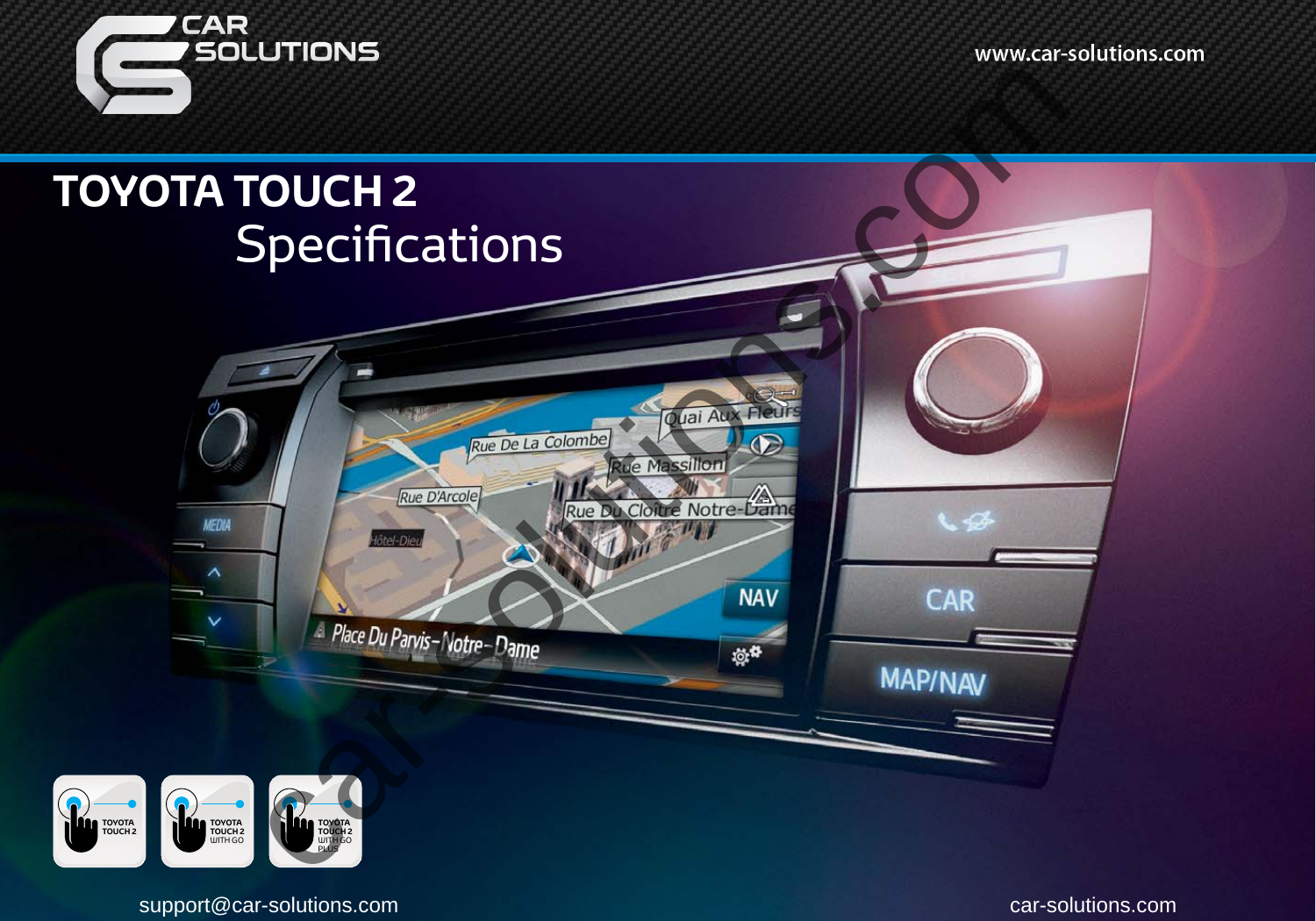www.car-solutions.com